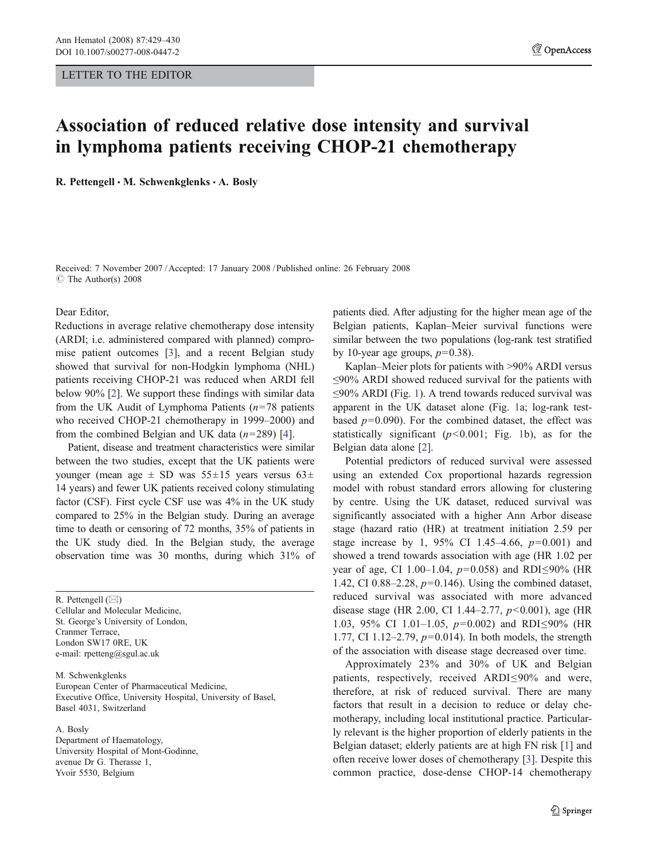## Association of reduced relative dose intensity and survival in lymphoma patients receiving CHOP-21 chemotherapy

R. Pettengell · M. Schwenkglenks · A. Bosly

Received: 7 November 2007 / Accepted: 17 January 2008 / Published online: 26 February 2008  $\circ$  The Author(s) 2008

Dear Editor,

Reductions in average relative chemotherapy dose intensity (ARDI; i.e. administered compared with planned) compromise patient outcomes [[3\]](#page-1-0), and a recent Belgian study showed that survival for non-Hodgkin lymphoma (NHL) patients receiving CHOP-21 was reduced when ARDI fell below 90% [\[2](#page-1-0)]. We support these findings with similar data from the UK Audit of Lymphoma Patients  $(n=78)$  patients who received CHOP-21 chemotherapy in 1999–2000) and from the combined Belgian and UK data  $(n=289)$  [\[4](#page-1-0)].

Patient, disease and treatment characteristics were similar between the two studies, except that the UK patients were younger (mean age  $\pm$  SD was 55 $\pm$ 15 years versus 63 $\pm$ 14 years) and fewer UK patients received colony stimulating factor (CSF). First cycle CSF use was 4% in the UK study compared to 25% in the Belgian study. During an average time to death or censoring of 72 months, 35% of patients in the UK study died. In the Belgian study, the average observation time was 30 months, during which 31% of

R. Pettengell (*\**) Cellular and Molecular Medicine, St. George's University of London, Cranmer Terrace, London SW17 0RE, UK e-mail: rpetteng@sgul.ac.uk

M. Schwenkglenks European Center of Pharmaceutical Medicine, Executive Office, University Hospital, University of Basel, Basel 4031, Switzerland

A. Bosly

Department of Haematology, University Hospital of Mont-Godinne, avenue Dr G. Therasse 1, Yvoir 5530, Belgium

patients died. After adjusting for the higher mean age of the Belgian patients, Kaplan–Meier survival functions were similar between the two populations (log-rank test stratified by 10-year age groups,  $p=0.38$ ).

Kaplan–Meier plots for patients with >90% ARDI versus ≤90% ARDI showed reduced survival for the patients with ≤90% ARDI (Fig. [1\)](#page-1-0). A trend towards reduced survival was apparent in the UK dataset alone (Fig. [1a](#page-1-0); log-rank testbased  $p=0.090$ ). For the combined dataset, the effect was statistically significant  $(p<0.001$  $(p<0.001$ ; Fig. 1b), as for the Belgian data alone [[2\]](#page-1-0).

Potential predictors of reduced survival were assessed using an extended Cox proportional hazards regression model with robust standard errors allowing for clustering by centre. Using the UK dataset, reduced survival was significantly associated with a higher Ann Arbor disease stage (hazard ratio (HR) at treatment initiation 2.59 per stage increase by 1, 95% CI 1.45–4.66,  $p=0.001$ ) and showed a trend towards association with age (HR 1.02 per year of age, CI 1.00–1.04,  $p=0.058$ ) and RDI≤90% (HR 1.42, CI 0.88–2.28,  $p=0.146$ ). Using the combined dataset, reduced survival was associated with more advanced disease stage (HR 2.00, CI 1.44–2.77,  $p < 0.001$ ), age (HR 1.03, 95% CI 1.01–1.05, p=0.002) and RDI≤90% (HR 1.77, CI 1.12–2.79, p=0.014). In both models, the strength of the association with disease stage decreased over time.

Approximately 23% and 30% of UK and Belgian patients, respectively, received ARDI≤90% and were, therefore, at risk of reduced survival. There are many factors that result in a decision to reduce or delay chemotherapy, including local institutional practice. Particularly relevant is the higher proportion of elderly patients in the Belgian dataset; elderly patients are at high FN risk [[1\]](#page-1-0) and often receive lower doses of chemotherapy [[3\]](#page-1-0). Despite this common practice, dose-dense CHOP-14 chemotherapy